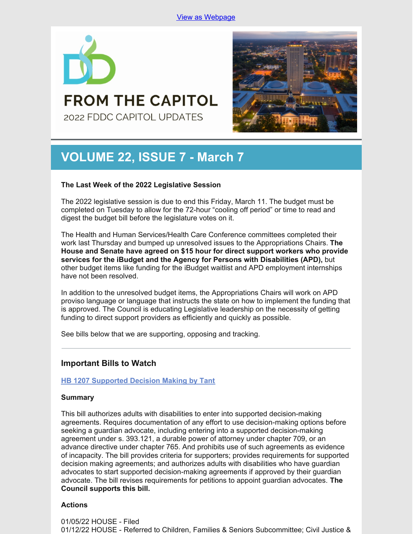

**FROM THE CAPITOL** 2022 FDDC CAPITOL UPDATES



# **VOLUME 22, ISSUE 7 - March 7**

## **The Last Week of the 2022 Legislative Session**

The 2022 legislative session is due to end this Friday, March 11. The budget must be completed on Tuesday to allow for the 72-hour "cooling off period" or time to read and digest the budget bill before the legislature votes on it.

The Health and Human Services/Health Care Conference committees completed their work last Thursday and bumped up unresolved issues to the Appropriations Chairs. **The House and Senate have agreed on \$15 hour for direct support workers who provide services for the iBudget and the Agency for Persons with Disabilities (APD),** but other budget items like funding for the iBudget waitlist and APD employment internships have not been resolved.

In addition to the unresolved budget items, the Appropriations Chairs will work on APD proviso language or language that instructs the state on how to implement the funding that is approved. The Council is educating Legislative leadership on the necessity of getting funding to direct support providers as efficiently and quickly as possible.

See bills below that we are supporting, opposing and tracking.

## **Important Bills to Watch**

## **HB 1207 [Supported](https://www.myfloridahouse.gov/Sections/Bills/billsdetail.aspx?BillId=76061) Decision Making by Tant**

#### **Summary**

This bill authorizes adults with disabilities to enter into supported decision-making agreements. Requires documentation of any effort to use decision-making options before seeking a guardian advocate, including entering into a supported decision-making agreement under s. 393.121, a durable power of attorney under chapter 709, or an advance directive under chapter 765. And prohibits use of such agreements as evidence of incapacity. The bill provides criteria for supporters; provides requirements for supported decision making agreements; and authorizes adults with disabilities who have guardian advocates to start supported decision-making agreements if approved by their guardian advocate. The bill revises requirements for petitions to appoint guardian advocates. **The Council supports this bill.**

## **Actions**

01/05/22 HOUSE - Filed 01/12/22 HOUSE - Referred to Children, Families & Seniors Subcommittee; Civil Justice &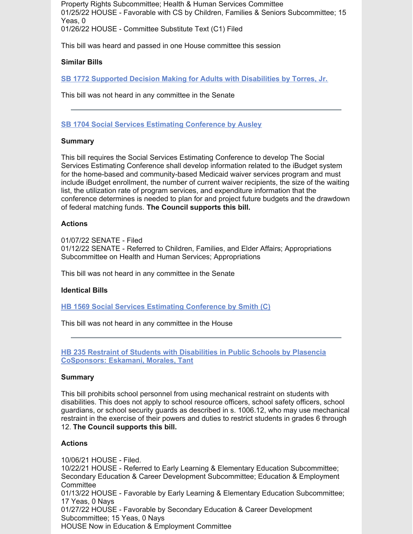Property Rights Subcommittee; Health & Human Services Committee 01/25/22 HOUSE - Favorable with CS by Children, Families & Seniors Subcommittee; 15 Yeas, 0 01/26/22 HOUSE - Committee Substitute Text (C1) Filed

This bill was heard and passed in one House committee this session

#### **Similar Bills**

**SB 1772 Supported Decision Making for Adults with [Disabilities](https://www.myfloridahouse.gov/Sections/Bills/billsdetail.aspx?BillId=76242&) by Torres, Jr.**

This bill was not heard in any committee in the Senate

#### **SB 1704 Social Services Estimating [Conference](https://www.myfloridahouse.gov/Sections/Bills/billsdetail.aspx?BillId=76170) by Ausley**

#### **Summary**

This bill requires the Social Services Estimating Conference to develop The Social Services Estimating Conference shall develop information related to the iBudget system for the home-based and community-based Medicaid waiver services program and must include iBudget enrollment, the number of current waiver recipients, the size of the waiting list, the utilization rate of program services, and expenditure information that the conference determines is needed to plan for and project future budgets and the drawdown of federal matching funds. **The Council supports this bill.**

#### **Actions**

01/07/22 SENATE - Filed 01/12/22 SENATE - Referred to Children, Families, and Elder Affairs; Appropriations Subcommittee on Health and Human Services; Appropriations

This bill was not heard in any committee in the Senate

#### **Identical Bills**

**HB 1569 Social Services Estimating [Conference](https://www.myfloridahouse.gov/Sections/Bills/billsdetail.aspx?BillId=76559&) by Smith (C)**

This bill was not heard in any committee in the House

**HB 235 Restraint of Students with Disabilities in Public Schools by Plasencia [CoSponsors:](https://www.myfloridahouse.gov/Sections/Bills/billsdetail.aspx?BillId=73355) Eskamani, Morales, Tant**

#### **Summary**

This bill prohibits school personnel from using mechanical restraint on students with disabilities. This does not apply to school resource officers, school safety officers, school guardians, or school security guards as described in s. 1006.12, who may use mechanical restraint in the exercise of their powers and duties to restrict students in grades 6 through 12. **The Council supports this bill.**

#### **Actions**

10/06/21 HOUSE - Filed. 10/22/21 HOUSE - Referred to Early Learning & Elementary Education Subcommittee; Secondary Education & Career Development Subcommittee; Education & Employment **Committee** 01/13/22 HOUSE - Favorable by Early Learning & Elementary Education Subcommittee; 17 Yeas, 0 Nays 01/27/22 HOUSE - Favorable by Secondary Education & Career Development Subcommittee; 15 Yeas, 0 Nays HOUSE Now in Education & Employment Committee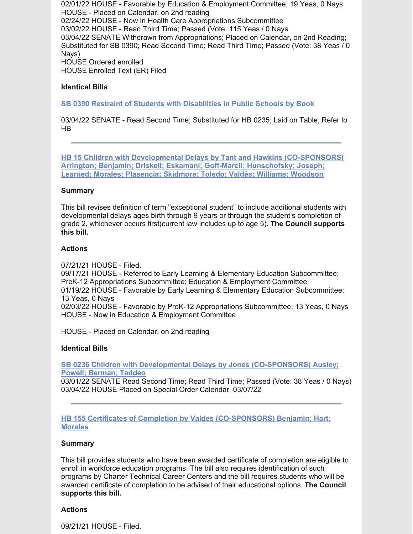02/01/22 HOUSE - Favorable by Education & Employment Committee; 19 Yeas, 0 Nays HOUSE - Placed on Calendar, on 2nd reading 02/24/22 HOUSE - Now in Health Care Appropriations Subcommittee 03/02/22 HOUSE - Read Third Time; Passed (Vote: 115 Yeas / 0 Nays 03/04/22 SENATE Withdrawn from Appropriations; Placed on Calendar, on 2nd Reading; Substituted for SB 0390; Read Second Time; Read Third Time; Passed (Vote: 38 Yeas / 0 Nays) HOUSE Ordered enrolled HOUSE Enrolled Text (ER) Filed

## **Identical Bills**

**SB 0390 Restraint of Students with [Disabilities](https://www.myfloridahouse.gov/Sections/Bills/billsdetail.aspx?BillId=73330&) in Public Schools by Book**

03/04/22 SENATE - Read Second Time; Substituted for HB 0235; Laid on Table, Refer to HB

**HB 15 Children with Developmental Delays by Tant and Hawkins [\(CO-SPONSORS\)](https://www.myfloridahouse.gov/Sections/Bills/billsdetail.aspx?BillId=73025) Arrington; Benjamin; Driskell; Eskamani; Goff-Marcil; Hunschofsky; Joseph; Learned; Morales; Plasencia; Skidmore; Toledo; Valdés; Williams; Woodson**

#### **Summary**

This bill revises definition of term "exceptional student" to include additional students with developmental delays ages birth through 9 years or through the student's completion of grade 2, whichever occurs first(current law includes up to age 5). **The Council supports this bill.**

## **Actions**

07/21/21 HOUSE - Filed.

09/17/21 HOUSE - Referred to Early Learning & Elementary Education Subcommittee; PreK-12 Appropriations Subcommittee; Education & Employment Committee 01/19/22 HOUSE - Favorable by Early Learning & Elementary Education Subcommittee; 13 Yeas, 0 Nays 02/03/22 HOUSE - Favorable by PreK-12 Appropriations Subcommittee; 13 Yeas, 0 Nays HOUSE - Now in Education & Employment Committee

HOUSE - Placed on Calendar, on 2nd reading

#### **Identical Bills**

**SB 0236 Children with Developmental Delays by Jones [\(CO-SPONSORS\)](https://www.myfloridahouse.gov/Sections/Bills/billsdetail.aspx?BillId=73164&) Ausley; Powell; Berman; Taddeo**

03/01/22 SENATE Read Second Time; Read Third Time; Passed (Vote: 38 Yeas / 0 Nays) 03/04/22 HOUSE Placed on Special Order Calendar, 03/07/22

**HB 155 Certificates of Completion by Valdes [\(CO-SPONSORS\)](https://www.myfloridahouse.gov/Sections/Bills/billsdetail.aspx?BillId=73206) Benjamin; Hart; Morales**

#### **Summary**

This bill provides students who have been awarded certificate of completion are eligible to enroll in workforce education programs. The bill also requires identification of such programs by Charter Technical Career Centers and the bill requires students who will be awarded certificate of completion to be advised of their educational options. **The Council supports this bill.**

#### **Actions**

09/21/21 HOUSE - Filed.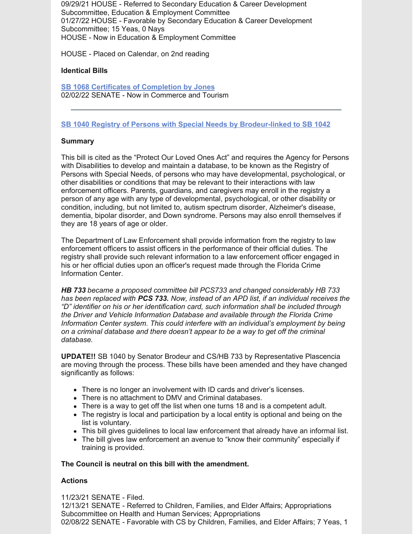09/29/21 HOUSE - Referred to Secondary Education & Career Development Subcommittee, Education & Employment Committee 01/27/22 HOUSE - Favorable by Secondary Education & Career Development Subcommittee; 15 Yeas, 0 Nays HOUSE - Now in Education & Employment Committee

HOUSE - Placed on Calendar, on 2nd reading

## **Identical Bills**

**SB 1068 Certificates of [Completion](https://www.myfloridahouse.gov/Sections/Bills/billsdetail.aspx?BillId=75103&) by Jones** 02/02/22 SENATE - Now in Commerce and Tourism

## **SB 1040 Registry of Persons with Special Needs by [Brodeur-linked](https://www.myfloridahouse.gov/Sections/Bills/billsdetail.aspx?BillId=74991) to SB 1042**

## **Summary**

This bill is cited as the "Protect Our Loved Ones Act" and requires the Agency for Persons with Disabilities to develop and maintain a database, to be known as the Registry of Persons with Special Needs, of persons who may have developmental, psychological, or other disabilities or conditions that may be relevant to their interactions with law enforcement officers. Parents, guardians, and caregivers may enroll in the registry a person of any age with any type of developmental, psychological, or other disability or condition, including, but not limited to, autism spectrum disorder, Alzheimer's disease, dementia, bipolar disorder, and Down syndrome. Persons may also enroll themselves if they are 18 years of age or older.

The Department of Law Enforcement shall provide information from the registry to law enforcement officers to assist officers in the performance of their official duties. The registry shall provide such relevant information to a law enforcement officer engaged in his or her official duties upon an officer's request made through the Florida Crime Information Center.

*HB 733 became a proposed committee bill PCS733 and changed considerably HB 733 has been replaced with PCS 733. Now, instead of an APD list, if an individual receives the "D" identifier on his or her identification card, such information shall be included through the Driver and Vehicle Information Database and available through the Florida Crime Information Center system. This could interfere with an individual's employment by being on a criminal database and there doesn't appear to be a way to get off the criminal database.*

**UPDATE!!** SB 1040 by Senator Brodeur and CS/HB 733 by Representative Plascencia are moving through the process. These bills have been amended and they have changed significantly as follows:

- There is no longer an involvement with ID cards and driver's licenses.
- There is no attachment to DMV and Criminal databases.
- There is a way to get off the list when one turns 18 and is a competent adult.
- The registry is local and participation by a local entity is optional and being on the list is voluntary.
- This bill gives guidelines to local law enforcement that already have an informal list.
- The bill gives law enforcement an avenue to "know their community" especially if training is provided.

#### **The Council is neutral on this bill with the amendment.**

## **Actions**

11/23/21 SENATE - Filed. 12/13/21 SENATE - Referred to Children, Families, and Elder Affairs; Appropriations Subcommittee on Health and Human Services; Appropriations 02/08/22 SENATE - Favorable with CS by Children, Families, and Elder Affairs; 7 Yeas, 1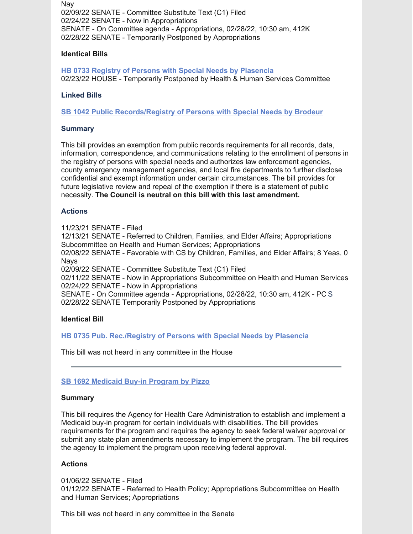Nay 02/09/22 SENATE - Committee Substitute Text (C1) Filed 02/24/22 SENATE - Now in Appropriations SENATE - On Committee agenda - Appropriations, 02/28/22, 10:30 am, 412K 02/28/22 SENATE - Temporarily Postponed by Appropriations

## **Identical Bills**

**HB 0733 Registry of Persons with Special Needs by [Plasencia](https://www.myfloridahouse.gov/Sections/Bills/billsdetail.aspx?BillId=75034&)** 02/23/22 HOUSE - Temporarily Postponed by Health & Human Services Committee

## **Linked Bills**

**SB 1042 Public [Records/Registry](https://www.myfloridahouse.gov/Sections/Bills/billsdetail.aspx?BillId=74990&) of Persons with Special Needs by Brodeur**

#### **Summary**

This bill provides an exemption from public records requirements for all records, data, information, correspondence, and communications relating to the enrollment of persons in the registry of persons with special needs and authorizes law enforcement agencies, county emergency management agencies, and local fire departments to further disclose confidential and exempt information under certain circumstances. The bill provides for future legislative review and repeal of the exemption if there is a statement of public necessity. **The Council is neutral on this bill with this last amendment.**

#### **Actions**

11/23/21 SENATE - Filed

12/13/21 SENATE - Referred to Children, Families, and Elder Affairs; Appropriations Subcommittee on Health and Human Services; Appropriations

02/08/22 SENATE - Favorable with CS by Children, Families, and Elder Affairs; 8 Yeas, 0 **Navs** 

02/09/22 SENATE - Committee Substitute Text (C1) Filed

02/11/22 SENATE - Now in Appropriations Subcommittee on Health and Human Services 02/24/22 SENATE - Now in Appropriations

SENATE - On Committee agenda - Appropriations, 02/28/22, 10:30 am, 412K - PC S 02/28/22 SENATE Temporarily Postponed by Appropriations

#### **Identical Bill**

**HB 0735 Pub. [Rec./Registry](https://www.myfloridahouse.gov/Sections/Bills/billsdetail.aspx?BillId=75035&) of Persons with Special Needs by Plasencia**

This bill was not heard in any committee in the House

#### **SB 1692 [Medicaid](https://www.myfloridahouse.gov/Sections/Bills/billsdetail.aspx?BillId=76163) Buy-in Program by Pizzo**

#### **Summary**

This bill requires the Agency for Health Care Administration to establish and implement a Medicaid buy-in program for certain individuals with disabilities. The bill provides requirements for the program and requires the agency to seek federal waiver approval or submit any state plan amendments necessary to implement the program. The bill requires the agency to implement the program upon receiving federal approval.

#### **Actions**

01/06/22 SENATE - Filed 01/12/22 SENATE - Referred to Health Policy; Appropriations Subcommittee on Health and Human Services; Appropriations

This bill was not heard in any committee in the Senate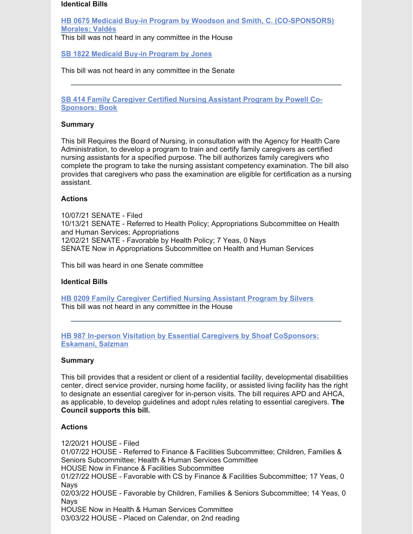#### **Identical Bills**

**HB 0675 Medicaid Buy-in Program by Woodson and Smith, C. [\(CO-SPONSORS\)](https://www.myfloridahouse.gov/Sections/Bills/billsdetail.aspx?BillId=74798&) Morales; Valdés**

This bill was not heard in any committee in the House

**SB 1822 [Medicaid](https://www.myfloridahouse.gov/Sections/Bills/billsdetail.aspx?BillId=76281&) Buy-in Program by Jones**

This bill was not heard in any committee in the Senate

**SB 414 Family Caregiver Certified Nursing Assistant Program by Powell Co-[Sponsors:](https://www.myfloridahouse.gov/Sections/Bills/billsdetail.aspx?BillId=73361&) Book**

#### **Summary**

This bill Requires the Board of Nursing, in consultation with the Agency for Health Care Administration, to develop a program to train and certify family caregivers as certified nursing assistants for a specified purpose. The bill authorizes family caregivers who complete the program to take the nursing assistant competency examination. The bill also provides that caregivers who pass the examination are eligible for certification as a nursing assistant.

## **Actions**

10/07/21 SENATE - Filed 10/13/21 SENATE - Referred to Health Policy; Appropriations Subcommittee on Health and Human Services; Appropriations 12/02/21 SENATE - Favorable by Health Policy; 7 Yeas, 0 Nays SENATE Now in Appropriations Subcommittee on Health and Human Services

This bill was heard in one Senate committee

#### **Identical Bills**

**HB 0209 Family [Caregiver](https://www.myfloridahouse.gov/Sections/Bills/billsdetail.aspx?BillId=73306) Certified Nursing Assistant Program by Silvers** This bill was not heard in any committee in the House

**HB 987 In-person Visitation by Essential Caregivers by Shoaf [CoSponsors:](https://www.myfloridahouse.gov/Sections/Bills/billsdetail.aspx?BillId=75784) Eskamani, Salzman**

#### **Summary**

This bill provides that a resident or client of a residential facility, developmental disabilities center, direct service provider, nursing home facility, or assisted living facility has the right to designate an essential caregiver for in-person visits. The bill requires APD and AHCA, as applicable, to develop guidelines and adopt rules relating to essential caregivers. **The Council supports this bill.**

#### **Actions**

12/20/21 HOUSE - Filed 01/07/22 HOUSE - Referred to Finance & Facilities Subcommittee; Children, Families & Seniors Subcommittee; Health & Human Services Committee HOUSE Now in Finance & Facilities Subcommittee 01/27/22 HOUSE - Favorable with CS by Finance & Facilities Subcommittee; 17 Yeas, 0 **Navs** 02/03/22 HOUSE - Favorable by Children, Families & Seniors Subcommittee; 14 Yeas, 0 Nays HOUSE Now in Health & Human Services Committee 03/03/22 HOUSE - Placed on Calendar, on 2nd reading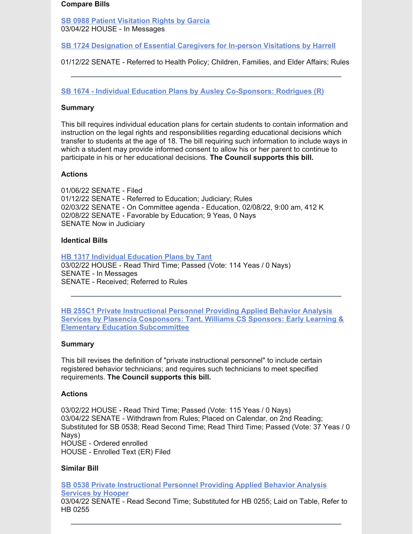#### **Compare Bills**

**SB 0988 Patient [Visitation](https://www.myfloridahouse.gov/Sections/Bills/billsdetail.aspx?BillId=74715&) Rights by Garcia** 03/04/22 HOUSE - In Messages

**SB 1724 [Designation](https://www.myfloridahouse.gov/Sections/Bills/billsdetail.aspx?BillId=76190&) of Essential Caregivers for In-person Visitations by Harrell**

01/12/22 SENATE - Referred to Health Policy; Children, Families, and Elder Affairs; Rules

**SB 1674 - Individual Education Plans by Ausley [Co-Sponsors:](https://www.flsenate.gov/Session/Bill/2022/1674) Rodrigues (R)**

## **Summary**

This bill requires individual education plans for certain students to contain information and instruction on the legal rights and responsibilities regarding educational decisions which transfer to students at the age of 18. The bill requiring such information to include ways in which a student may provide informed consent to allow his or her parent to continue to participate in his or her educational decisions. **The Council supports this bill.**

## **Actions**

01/06/22 SENATE - Filed 01/12/22 SENATE - Referred to Education; Judiciary; Rules 02/03/22 SENATE - On Committee agenda - Education, 02/08/22, 9:00 am, 412 K 02/08/22 SENATE - Favorable by Education; 9 Yeas, 0 Nays SENATE Now in Judiciary

#### **Identical Bills**

**HB 1317 Individual [Education](https://www.flsenate.gov/Session/Bill/2022/1317) Plans by Tant** 03/02/22 HOUSE - Read Third Time; Passed (Vote: 114 Yeas / 0 Nays) SENATE - In Messages SENATE - Received; Referred to Rules

**HB 255C1 Private Instructional Personnel Providing Applied Behavior Analysis Services by Plasencia Cosponsors: Tant, Williams CS Sponsors: Early Learning & Elementary Education [Subcommittee](https://www.myfloridahouse.gov/Sections/Bills/billsdetail.aspx?BillId=73389)**

## **Summary**

This bill revises the definition of "private instructional personnel" to include certain registered behavior technicians; and requires such technicians to meet specified requirements. **The Council supports this bill.**

#### **Actions**

03/02/22 HOUSE - Read Third Time; Passed (Vote: 115 Yeas / 0 Nays) 03/04/22 SENATE - Withdrawn from Rules; Placed on Calendar, on 2nd Reading; Substituted for SB 0538; Read Second Time; Read Third Time; Passed (Vote: 37 Yeas / 0 Nays) HOUSE - Ordered enrolled HOUSE - Enrolled Text (ER) Filed

#### **Similar Bill**

**SB 0538 Private [Instructional](https://www.myfloridahouse.gov/Sections/Bills/billsdetail.aspx?BillId=73551&) Personnel Providing Applied Behavior Analysis Services by Hooper**

03/04/22 SENATE - Read Second Time; Substituted for HB 0255; Laid on Table, Refer to HB 0255